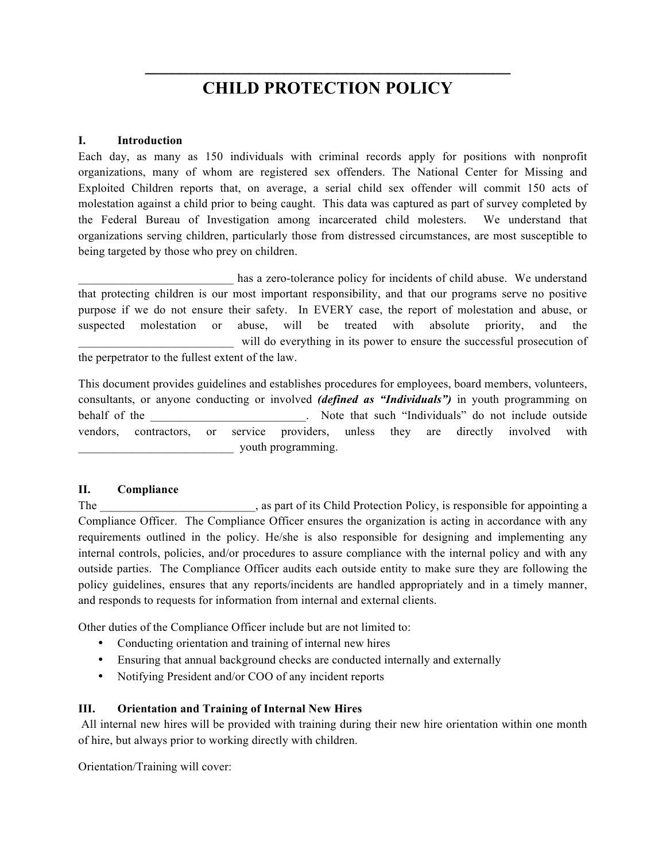# **CHILD PROTECTION POLICY**

**\_\_\_\_\_\_\_\_\_\_\_\_\_\_\_\_\_\_\_\_\_\_\_\_\_\_\_\_\_\_\_\_\_\_\_\_\_\_\_\_\_\_**

### **I. Introduction**

Each day, as many as 150 individuals with criminal records apply for positions with nonprofit organizations, many of whom are registered sex offenders. The National Center for Missing and Exploited Children reports that, on average, a serial child sex offender will commit 150 acts of molestation against a child prior to being caught. This data was captured as part of survey completed by the Federal Bureau of Investigation among incarcerated child molesters. We understand that organizations serving children, particularly those from distressed circumstances, are most susceptible to being targeted by those who prey on children.

has a zero-tolerance policy for incidents of child abuse. We understand that protecting children is our most important responsibility, and that our programs serve no positive purpose if we do not ensure their safety. In EVERY case, the report of molestation and abuse, or suspected molestation or abuse, will be treated with absolute priority, and the will do everything in its power to ensure the successful prosecution of the perpetrator to the fullest extent of the law.

This document provides guidelines and establishes procedures for employees, board members, volunteers, consultants, or anyone conducting or involved *(defined as "Individuals")* in youth programming on behalf of the the contract of the set of the set of the set of the set of the set of the set of the set of the set of the set of the set of the set of the set of the set of the set of the set of the set of the set of the s vendors, contractors, or service providers, unless they are directly involved with \_\_\_\_\_\_\_\_\_\_\_\_\_\_\_\_\_\_\_\_\_\_\_\_\_\_ youth programming.

## **II. Compliance**

The state of its Child Protection Policy, is responsible for appointing a state of its Child Protection Policy, is responsible for appointing a Compliance Officer. The Compliance Officer ensures the organization is acting in accordance with any requirements outlined in the policy. He/she is also responsible for designing and implementing any internal controls, policies, and/or procedures to assure compliance with the internal policy and with any outside parties. The Compliance Officer audits each outside entity to make sure they are following the policy guidelines, ensures that any reports/incidents are handled appropriately and in a timely manner, and responds to requests for information from internal and external clients.

Other duties of the Compliance Officer include but are not limited to:

- Conducting orientation and training of internal new hires
- Ensuring that annual background checks are conducted internally and externally
- Notifying President and/or COO of any incident reports

## **III. Orientation and Training of Internal New Hires**

All internal new hires will be provided with training during their new hire orientation within one month of hire, but always prior to working directly with children.

Orientation/Training will cover: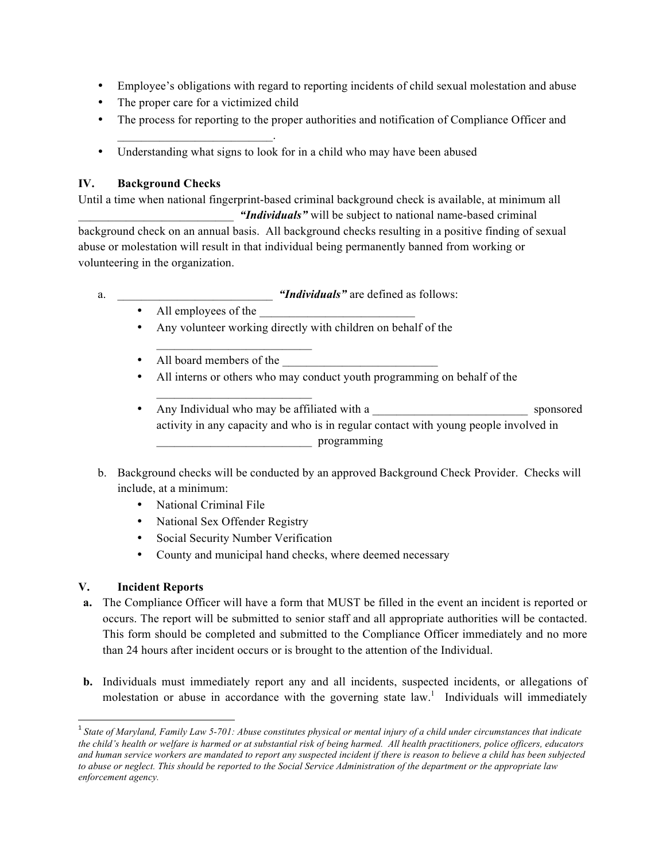- Employee's obligations with regard to reporting incidents of child sexual molestation and abuse
- The proper care for a victimized child

 $\mathcal{L}_\text{max}$  and  $\mathcal{L}_\text{max}$  and  $\mathcal{L}_\text{max}$ 

- The process for reporting to the proper authorities and notification of Compliance Officer and
- Understanding what signs to look for in a child who may have been abused

## **IV. Background Checks**

Until a time when national fingerprint-based criminal background check is available, at minimum all

"*Individuals*" will be subject to national name-based criminal background check on an annual basis. All background checks resulting in a positive finding of sexual abuse or molestation will result in that individual being permanently banned from working or volunteering in the organization.

- a.  $\ddot{m}$  *"Individuals"* are defined as follows:
	- All employees of the
	- Any volunteer working directly with children on behalf of the
	- All board members of the

 $\mathcal{L}_\text{max}$  and  $\mathcal{L}_\text{max}$  and  $\mathcal{L}_\text{max}$ 

 $\mathcal{L}_\text{max}$  and  $\mathcal{L}_\text{max}$  and  $\mathcal{L}_\text{max}$ 

- All interns or others who may conduct youth programming on behalf of the
- Any Individual who may be affiliated with a sponsored activity in any capacity and who is in regular contact with young people involved in \_\_\_\_\_\_\_\_\_\_\_\_\_\_\_\_\_\_\_\_\_\_\_\_\_\_ programming
- b. Background checks will be conducted by an approved Background Check Provider. Checks will include, at a minimum:
	- National Criminal File
	- National Sex Offender Registry
	- Social Security Number Verification
	- County and municipal hand checks, where deemed necessary

## **V. Incident Reports**

- **a.** The Compliance Officer will have a form that MUST be filled in the event an incident is reported or occurs. The report will be submitted to senior staff and all appropriate authorities will be contacted. This form should be completed and submitted to the Compliance Officer immediately and no more than 24 hours after incident occurs or is brought to the attention of the Individual.
- **b.** Individuals must immediately report any and all incidents, suspected incidents, or allegations of molestation or abuse in accordance with the governing state  $law<sup>1</sup>$ . Individuals will immediately

<sup>&</sup>lt;sup>1</sup> State of Maryland, Family Law 5-701: Abuse constitutes physical or mental injury of a child under circumstances that indicate *the child's health or welfare is harmed or at substantial risk of being harmed. All health practitioners, police officers, educators and human service workers are mandated to report any suspected incident if there is reason to believe a child has been subjected to abuse or neglect. This should be reported to the Social Service Administration of the department or the appropriate law enforcement agency.*